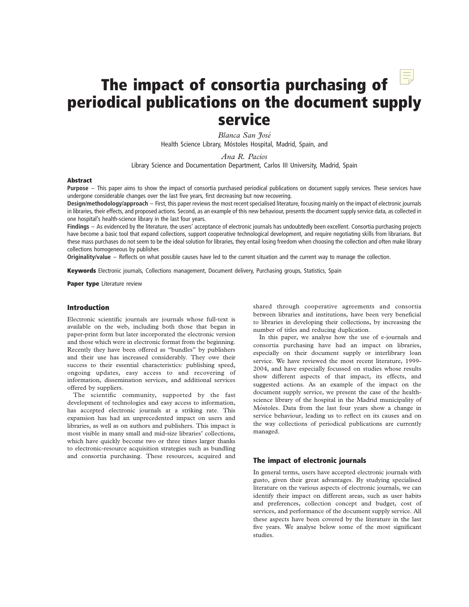# The impact of consortia purchasing of periodical publications on the document supply service

Blanca San Fosé Health Science Library, Móstoles Hospital, Madrid, Spain, and

Ana R. Pacios Library Science and Documentation Department, Carlos III University, Madrid, Spain

#### **Abstract**

Purpose – This paper aims to show the impact of consortia purchased periodical publications on document supply services. These services have undergone considerable changes over the last five years, first decreasing but now recovering.

Design/methodology/approach – First, this paper reviews the most recent specialised literature, focusing mainly on the impact of electronic journals in libraries, their effects, and proposed actions. Second, as an example of this new behaviour, presents the document supply service data, as collected in one hospital's health-science library in the last four years.

Findings – As evidenced by the literature, the users' acceptance of electronic journals has undoubtedly been excellent. Consortia purchasing projects have become a basic tool that expand collections, support cooperative technological development, and require negotiating skills from librarians. But these mass purchases do not seem to be the ideal solution for libraries, they entail losing freedom when choosing the collection and often make library collections homogeneous by publisher.

Originality/value – Reflects on what possible causes have led to the current situation and the current way to manage the collection.

Keywords Electronic journals, Collections management, Document delivery, Purchasing groups, Statistics, Spain

Paper type Literature review

### Introduction

Electronic scientific journals are journals whose full-text is available on the web, including both those that began in paper-print form but later incorporated the electronic version and those which were in electronic format from the beginning. Recently they have been offered as "bundles" by publishers and their use has increased considerably. They owe their success to their essential characteristics: publishing speed, ongoing updates, easy access to and recovering of information, dissemination services, and additional services offered by suppliers.

The scientific community, supported by the fast development of technologies and easy access to information, has accepted electronic journals at a striking rate. This expansion has had an unprecedented impact on users and libraries, as well as on authors and publishers. This impact is most visible in many small and mid-size libraries' collections, which have quickly become two or three times larger thanks to electronic-resource acquisition strategies such as bundling and consortia purchasing. These resources, acquired and shared through cooperative agreements and consortia between libraries and institutions, have been very beneficial to libraries in developing their collections, by increasing the number of titles and reducing duplication.

In this paper, we analyse how the use of e-journals and consortia purchasing have had an impact on libraries, especially on their document supply or interlibrary loan service. We have reviewed the most recent literature, 1999- 2004, and have especially focussed on studies whose results show different aspects of that impact, its effects, and suggested actions. As an example of the impact on the document supply service, we present the case of the healthscience library of the hospital in the Madrid municipality of Móstoles. Data from the last four years show a change in service behaviour, leading us to reflect on its causes and on the way collections of periodical publications are currently managed.

### The impact of electronic journals

In general terms, users have accepted electronic journals with gusto, given their great advantages. By studying specialised literature on the various aspects of electronic journals, we can identify their impact on different areas, such as user habits and preferences, collection concept and budget, cost of services, and performance of the document supply service. All these aspects have been covered by the literature in the last five years. We analyse below some of the most significant studies.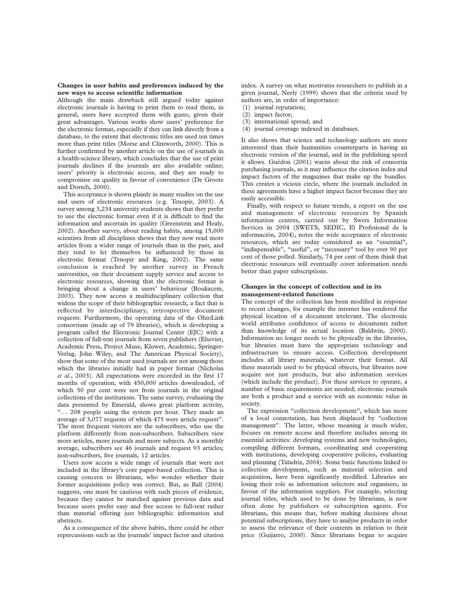#### Changes in user habits and preferences induced by the new ways to access scientific information

Although the main drawback still argued today against electronic journals is having to print them to read them, in general, users have accepted them with gusto, given their great advantages. Various works show users' preference for the electronic format, especially if they can link directly from a database, to the extent that electronic titles are used ten times more than print titles (Morse and Clintworth, 2000). This is further confirmed by another article on the use of journals in a health-science library, which concludes that the use of print journals declines if the journals are also available online; users' priority is electronic access, and they are ready to compromise on quality in favour of convenience (De Groote and Dorsch, 2000).

This acceptance is shown plainly in many studies on the use and users of electronic resources (e.g. Tenopir, 2003). A survey among 3,234 university students shows that they prefer to use the electronic format even if it is difficult to find the information and ascertain its quality (Greenstein and Healy, 2002). Another survey, about reading habits, among 15,000 scientists from all disciplines shows that they now read more articles from a wider range of journals than in the past, and they tend to let themselves be influenced by those in electronic format (Tenopir and King, 2002). The same conclusion is reached by another survey in French universities, on their document supply service and access to electronic resources, showing that the electronic format is bringing about a change in users' behaviour (Boukacem, 2003). They now access a multidisciplinary collection that widens the scope of their bibliographic research, a fact that is reflected by interdisciplinary, retrospective document requests. Furthermore, the operating data of the OhioLink consortium (made up of 79 libraries), which is developing a program called the Electronic Journal Center (EJC) with a collection of full-text journals from seven publishers (Elsevier, Academic Press, Project Muse, Kluwer, Academic, Springer-Verlag, John Wiley, and The American Physical Society), show that some of the most used journals are not among those which the libraries initially had in paper format (Nicholas et al., 2003). All expectations were exceeded in the first 17 months of operation, with 450,000 articles downloaded, of which 50 per cent were not from journals in the original collections of the institutions. The same survey, evaluating the data presented by Emerald, shows great platform activity, "... 208 people using the system per hour. They made an average of 3,077 requests of which 475 were article request". The most frequent visitors are the subscribers, who use the platform differently from non-subscribers. Subscribers view more articles, more journals and more subjects. As a monthly average, subscribers see 46 journals and request 93 articles; non-subscribers, five journals, 12 articles.

Users now access a wide range of journals that were not included in the library's core paper-based collection. This is causing concern to librarians, who wonder whether their former acquisitions policy was correct. But, as Ball (2004) suggests, one must be cautious with such pieces of evidence, because they cannot be matched against previous data and because users prefer easy and free access to full-text rather than material offering just bibliographic information and abstracts.

As a consequence of the above habits, there could be other repercussions such as the journals' impact factor and citation index. A survey on what motivates researchers to publish in a given journal, Neely (1999) shows that the criteria used by authors are, in order of importance:

- (1) journal reputation;
- (2) impact factor;
- (3) international spread; and
- (4) journal coverage indexed in databases.

It also shows that science and technology authors are more interested than their humanities counterparts in having an electronic version of the journal, and in the publishing speed it allows. Guédon (2001) warns about the risk of consortia purchasing journals, as it may influence the citation index and impact factors of the magazines that make up the bundles. This creates a vicious circle, where the journals included in these agreements have a higher impact factor because they are easily accessible.

Finally, with respect to future trends, a report on the use and management of electronic resources by Spanish information centres, carried out by Swets Information Services in 2004 (SWETS, SEDIC, El Profesional de la información, 2004), notes the wide acceptance of electronic resources, which are today considered as an "essential", "indispensable", "useful", or "necessary" tool by over 90 per cent of those polled. Similarly, 74 per cent of them think that electronic resources will eventually cover information needs better than paper subscriptions.

#### Changes in the concept of collection and in its management-related functions

The concept of the collection has been modified in response to recent changes, for example the internet has rendered the physical location of a document irrelevant. The electronic world attributes confidence of access to documents rather than knowledge of its actual location (Baldwin, 2000). Information no longer needs to be physically in the libraries, but libraries must have the appropriate technology and infrastructure to ensure access. Collection development includes all library materials, whatever their format. All these materials used to be physical objects, but libraries now acquire not just products, but also information services (which include the product). For these services to operate, a number of basic requirements are needed; electronic journals are both a product and a service with an economic value in society.

The expression "collection development", which has more of a local connotation, has been displaced by "collection management". The latter, whose meaning is much wider, focuses on remote access and therefore includes among its essential activities: developing systems and new technologies, compiling different formats, coordinating and cooperating with institutions, developing cooperative policies, evaluating and planning (Taladriz, 2004). Some basic functions linked to collection development, such as material selection and acquisition, have been significantly modified. Libraries are losing their role as information selectors and organisers, in favour of the information suppliers. For example, selecting journal titles, which used to be done by librarians, is now often done by publishers or subscription agents. For librarians, this means that, before making decisions about potential subscriptions, they have to analyse products in order to assess the relevance of their contents in relation to their price (Guijarro, 2000). Since librarians began to acquire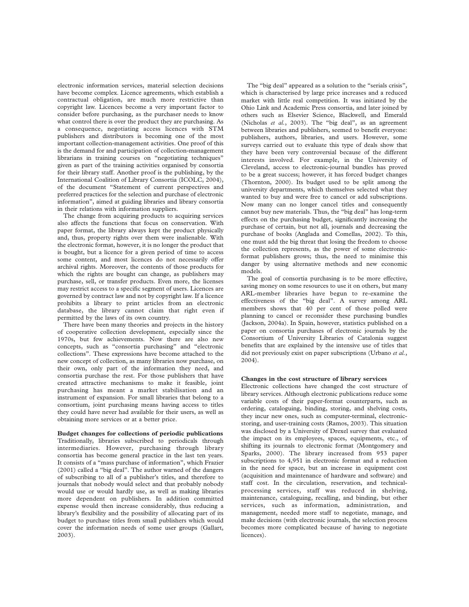electronic information services, material selection decisions have become complex. Licence agreements, which establish a contractual obligation, are much more restrictive than copyright law. Licences become a very important factor to consider before purchasing, as the purchaser needs to know what control there is over the product they are purchasing. As a consequence, negotiating access licences with STM publishers and distributors is becoming one of the most important collection-management activities. One proof of this is the demand for and participation of collection-management librarians in training courses on "negotiating techniques" given as part of the training activities organised by consortia for their library staff. Another proof is the publishing, by the International Coalition of Library Consortia (ICOLC, 2004), of the document "Statement of current perspectives and preferred practices for the selection and purchase of electronic information", aimed at guiding libraries and library consortia in their relations with information suppliers.

The change from acquiring products to acquiring services also affects the functions that focus on conservation. With paper format, the library always kept the product physically and, thus, property rights over them were inalienable. With the electronic format, however, it is no longer the product that is bought, but a licence for a given period of time to access some content, and most licences do not necessarily offer archival rights. Moreover, the contents of those products for which the rights are bought can change, as publishers may purchase, sell, or transfer products. Even more, the licenses may restrict access to a specific segment of users. Licences are governed by contract law and not by copyright law. If a licence prohibits a library to print articles from an electronic database, the library cannot claim that right even if permitted by the laws of its own country.

There have been many theories and projects in the history of cooperative collection development, especially since the 1970s, but few achievements. Now there are also new concepts, such as "consortia purchasing" and "electronic collections". These expressions have become attached to the new concept of collection, as many libraries now purchase, on their own, only part of the information they need, and consortia purchase the rest. For those publishers that have created attractive mechanisms to make it feasible, joint purchasing has meant a market stabilisation and an instrument of expansion. For small libraries that belong to a consortium, joint purchasing means having access to titles they could have never had available for their users, as well as obtaining more services or at a better price.

Budget changes for collections of periodic publications Traditionally, libraries subscribed to periodicals through intermediaries. However, purchasing through library consortia has become general practice in the last ten years. It consists of a "mass purchase of information", which Frazier (2001) called a "big deal". The author warned of the dangers of subscribing to all of a publisher's titles, and therefore to journals that nobody would select and that probably nobody would use or would hardly use, as well as making libraries more dependent on publishers. In addition committed expense would then increase considerably, thus reducing a library's flexibility and the possibility of allocating part of its budget to purchase titles from small publishers which would cover the information needs of some user groups (Gallart, 2003).

The "big deal" appeared as a solution to the "serials crisis", which is characterised by large price increases and a reduced market with little real competition. It was initiated by the Ohio Link and Academic Press consortia, and later joined by others such as Elsevier Science, Blackwell, and Emerald (Nicholas et al., 2003). The "big deal", as an agreement between libraries and publishers, seemed to benefit everyone: publishers, authors, libraries, and users. However, some surveys carried out to evaluate this type of deals show that they have been very controversial because of the different interests involved. For example, in the University of Cleveland, access to electronic-journal bundles has proved to be a great success; however, it has forced budget changes (Thornton, 2000). Its budget used to be split among the university departments, which themselves selected what they wanted to buy and were free to cancel or add subscriptions. Now many can no longer cancel titles and consequently cannot buy new materials. Thus, the "big deal" has long-term effects on the purchasing budget, significantly increasing the purchase of certain, but not all, journals and decreasing the purchase of books (Anglada and Comellas, 2002). To this, one must add the big threat that losing the freedom to choose the collection represents, as the power of some electronicformat publishers grows; thus, the need to minimise this danger by using alternative methods and new economic models.

The goal of consortia purchasing is to be more effective, saving money on some resources to use it on others, but many ARL-member libraries have begun to re-examine the effectiveness of the "big deal". A survey among ARL members shows that 40 per cent of those polled were planning to cancel or reconsider these purchasing bundles (Jackson, 2004a). In Spain, however, statistics published on a paper on consortia purchases of electronic journals by the Consortium of University Libraries of Catalonia suggest benefits that are explained by the intensive use of titles that did not previously exist on paper subscriptions (Urbano et al., 2004).

#### Changes in the cost structure of library services

Electronic collections have changed the cost structure of library services. Although electronic publications reduce some variable costs of their paper-format counterparts, such as ordering, cataloguing, binding, storing, and shelving costs, they incur new ones, such as computer-terminal, electronicstoring, and user-training costs (Ramos, 2003). This situation was disclosed by a University of Drexel survey that evaluated the impact on its employees, spaces, equipments, etc., of shifting its journals to electronic format (Montgomery and Sparks, 2000). The library increased from 953 paper subscriptions to 4,951 in electronic format and a reduction in the need for space, but an increase in equipment cost (acquisition and maintenance of hardware and software) and staff cost. In the circulation, reservation, and technicalprocessing services, staff was reduced in shelving, maintenance, cataloguing, recalling, and binding, but other services, such as information, administration, and management, needed more staff to negotiate, manage, and make decisions (with electronic journals, the selection process becomes more complicated because of having to negotiate licences).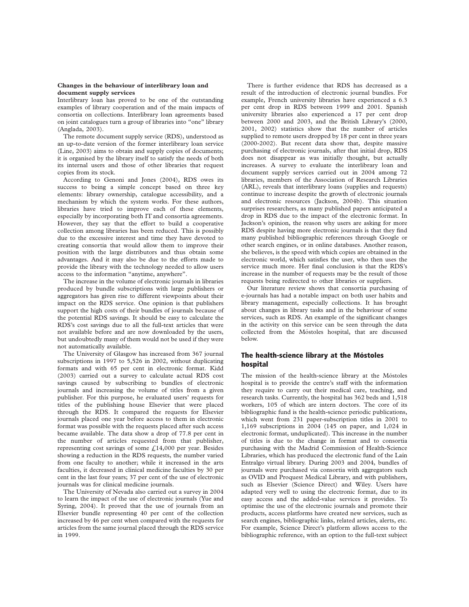#### Changes in the behaviour of interlibrary loan and document supply services

Interlibrary loan has proved to be one of the outstanding examples of library cooperation and of the main impacts of consortia on collections. Interlibrary loan agreements based on joint catalogues turn a group of libraries into "one" library (Anglada, 2003).

The remote document supply service (RDS), understood as an up-to-date version of the former interlibrary loan service (Line, 2003) aims to obtain and supply copies of documents; it is organised by the library itself to satisfy the needs of both its internal users and those of other libraries that request copies from its stock.

According to Genoni and Jones (2004), RDS owes its success to being a simple concept based on three key elements: library ownership, catalogue accessibility, and a mechanism by which the system works. For these authors, libraries have tried to improve each of these elements, especially by incorporating both IT and consortia agreements. However, they say that the effort to build a cooperative collection among libraries has been reduced. This is possibly due to the excessive interest and time they have devoted to creating consortia that would allow them to improve their position with the large distributors and thus obtain some advantages. And it may also be due to the efforts made to provide the library with the technology needed to allow users access to the information "anytime, anywhere".

The increase in the volume of electronic journals in libraries produced by bundle subscriptions with large publishers or aggregators has given rise to different viewpoints about their impact on the RDS service. One opinion is that publishers support the high costs of their bundles of journals because of the potential RDS savings. It should be easy to calculate the RDS's cost savings due to all the full-text articles that were not available before and are now downloaded by the users, but undoubtedly many of them would not be used if they were not automatically available.

The University of Glasgow has increased from 367 journal subscriptions in 1997 to 5,526 in 2002, without duplicating formats and with 65 per cent in electronic format. Kidd (2003) carried out a survey to calculate actual RDS cost savings caused by subscribing to bundles of electronic journals and increasing the volume of titles from a given publisher. For this purpose, he evaluated users' requests for titles of the publishing house Elsevier that were placed through the RDS. It compared the requests for Elsevier journals placed one year before access to them in electronic format was possible with the requests placed after such access became available. The data show a drop of 77.8 per cent in the number of articles requested from that publisher, representing cost savings of some  $\text{\textsterling}14,000$  per year. Besides showing a reduction in the RDS requests, the number varied from one faculty to another; while it increased in the arts faculties, it decreased in clinical medicine faculties by 30 per cent in the last four years; 37 per cent of the use of electronic journals was for clinical medicine journals.

The University of Nevada also carried out a survey in 2004 to learn the impact of the use of electronic journals (Yue and Syring, 2004). It proved that the use of journals from an Elsevier bundle representing 40 per cent of the collection increased by 46 per cent when compared with the requests for articles from the same journal placed through the RDS service  $in 1000$ 

There is further evidence that RDS has decreased as a result of the introduction of electronic journal bundles. For example, French university libraries have experienced a 6.3 per cent drop in RDS between 1999 and 2001. Spanish university libraries also experienced a 17 per cent drop between 2000 and 2003, and the British Library's (2000, 2001, 2002) statistics show that the number of articles supplied to remote users dropped by 18 per cent in three years (2000-2002). But recent data show that, despite massive purchasing of electronic journals, after that initial drop, RDS does not disappear as was initially thought, but actually increases. A survey to evaluate the interlibrary loan and document supply services carried out in 2004 among 72 libraries, members of the Association of Research Libraries (ARL), reveals that interlibrary loans (supplies and requests) continue to increase despite the growth of electronic journals and electronic resources (Jackson, 2004b). This situation surprises researchers, as many published papers anticipated a drop in RDS due to the impact of the electronic format. In Jackson's opinion, the reason why users are asking for more RDS despite having more electronic journals is that they find many published bibliographic references through Google or other search engines, or in online databases. Another reason, she believes, is the speed with which copies are obtained in the electronic world, which satisfies the user, who then uses the service much more. Her final conclusion is that the RDS's increase in the number of requests may be the result of those requests being redirected to other libraries or suppliers.

Our literature review shows that consortia purchasing of e-journals has had a notable impact on both user habits and library management, especially collections. It has brought about changes in library tasks and in the behaviour of some services, such as RDS. An example of the significant changes in the activity on this service can be seen through the data collected from the Móstoles hospital, that are discussed below.

## The health-science library at the Móstoles hospital

The mission of the health-science library at the Móstoles hospital is to provide the centre's staff with the information they require to carry out their medical care, teaching, and research tasks. Currently, the hospital has 362 beds and 1,518 workers, 105 of which are intern doctors. The core of its bibliographic fund is the health-science periodic publications, which went from 231 paper-subscription titles in 2001 to 1,169 subscriptions in 2004 (145 on paper, and 1,024 in electronic format, unduplicated). This increase in the number of titles is due to the change in format and to consortia purchasing with the Madrid Commission of Health-Science Libraries, which has produced the electronic fund of the Lain Entralgo virtual library. During 2003 and 2004, bundles of journals were purchased via consortia with aggregators such as OVID and Proquest Medical Library, and with publishers, such as Elsevier (Science Direct) and Wiley. Users have adapted very well to using the electronic format, due to its easy access and the added-value services it provides. To optimise the use of the electronic journals and promote their products, access platforms have created new services, such as search engines, bibliographic links, related articles, alerts, etc. For example, Science Direct's platform allows access to the bibliographic reference, with an option to the full-text subject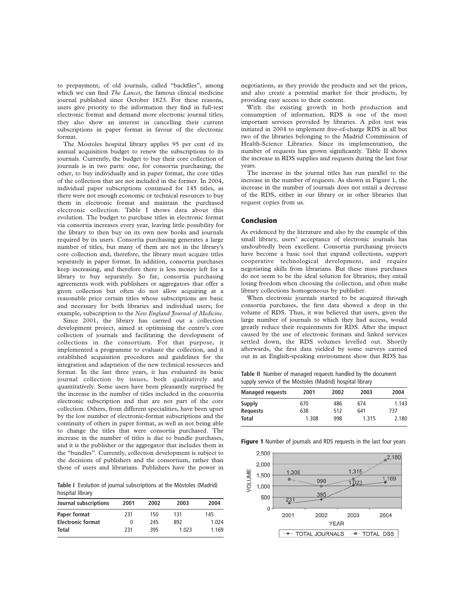to prepayment, of old journals, called "backfiles", among which we can find *The Lancet*, the famous clinical medicine journal published since October 1823. For these reasons, users give priority to the information they find in full-text electronic format and demand more electronic journal titles; they also show an interest in cancelling their current subscriptions in paper format in favour of the electronic format.

The Móstoles hospital library applies 95 per cent of its annual acquisition budget to renew the subscriptions to its journals. Currently, the budget to buy their core collection of journals is in two parts: one, for consortia purchasing; the other, to buy individually and in paper format, the core titles of the collection that are not included in the former. In 2004, individual paper subscriptions continued for 145 titles, as there were not enough economic or technical resources to buy them in electronic format and maintain the purchased electronic collection. Table I shows data about this evolution. The budget to purchase titles in electronic format via consortia increases every year, leaving little possibility for the library to then buy on its own new books and journals required by its users. Consortia purchasing generates a large number of titles, but many of them are not in the library's core collection and, therefore, the library must acquire titles separately in paper format. In addition, consortia purchases keep increasing, and therefore there is less money left for a library to buy separately. So far, consortia purchasing agreements work with publishers or aggregators that offer a given collection but often do not allow acquiring at a reasonable price certain titles whose subscriptions are basic and necessary for both libraries and individual users; for example, subscription to the New England Journal of Medicine.

Since 2001, the library has carried out a collection development project, aimed at optimising the centre's core collection of journals and facilitating the development of collections in the consortium. For that purpose, it implemented a programme to evaluate the collection, and it established acquisition procedures and guidelines for the integration and adaptation of the new technical resources and format. In the last three years, it has evaluated its basic journal collection by issues, both qualitatively and quantitatively. Some users have been pleasantly surprised by the increase in the number of titles included in the consortia electronic subscription and that are not part of the core collection. Others, from different specialities, have been upset by the low number of electronic-format subscriptions and the continuity of others in paper format, as well as not being able to change the titles that were consortia purchased. The increase in the number of titles is due to bundle purchases, and it is the publisher or the aggregator that includes them in the "bundles". Currently, collection development is subject to the decisions of publishers and the consortium, rather than those of users and librarians. Publishers have the power in

Table I Evolution of journal subscriptions at the Móstoles (Madrid) hospital library

| Journal subscriptions    | 2001 | 2002 | 2003  | 2004  |
|--------------------------|------|------|-------|-------|
| Paper format             | 231  | 150  | 131   | 145   |
| <b>Electronic format</b> | 0    | 245  | 892   | 1.024 |
| <b>Total</b>             | 231  | 395  | 1.023 | 1.169 |

negotiations, as they provide the products and set the prices, and also create a potential market for their products, by providing easy access to their content.

With the existing growth in both production and consumption of information, RDS is one of the most important services provided by libraries. A pilot test was initiated in 2004 to implement free-of-charge RDS in all but two of the libraries belonging to the Madrid Commission of Health-Science Libraries. Since its implementation, the number of requests has grown significantly. Table II shows the increase in RDS supplies and requests during the last four years.

The increase in the journal titles has run parallel to the increase in the number of requests. As shown in Figure 1, the increase in the number of journals does not entail a decrease of the RDS, either in our library or in other libraries that request copies from us.

## Conclusion

As evidenced by the literature and also by the example of this small library, users' acceptance of electronic journals has undoubtedly been excellent. Consortia purchasing projects have become a basic tool that expand collections, support cooperative technological development, and require negotiating skills from librarians. But these mass purchases do not seem to be the ideal solution for libraries; they entail losing freedom when choosing the collection, and often make library collections homogeneous by publisher.

When electronic journals started to be acquired through consortia purchases, the first data showed a drop in the volume of RDS. Thus, it was believed that users, given the large number of journals to which they had access, would greatly reduce their requirements for RDS. After the impact caused by the use of electronic formats and linked services settled down, the RDS volumes levelled out. Shortly afterwards, the first data yielded by some surveys carried out in an English-speaking environment show that RDS has

Table II Number of managed requests handled by the document supply service of the Móstoles (Madrid) hospital library

| <b>Managed requests</b> | 2001  | 2002 | 2003  | 2004  |
|-------------------------|-------|------|-------|-------|
| Supply                  | 670   | 486  | 674   | 1.143 |
| <b>Requests</b>         | 638   | 512  | 641   | 737   |
| <b>Total</b>            | 1.308 | 998  | 1.315 | 2.180 |



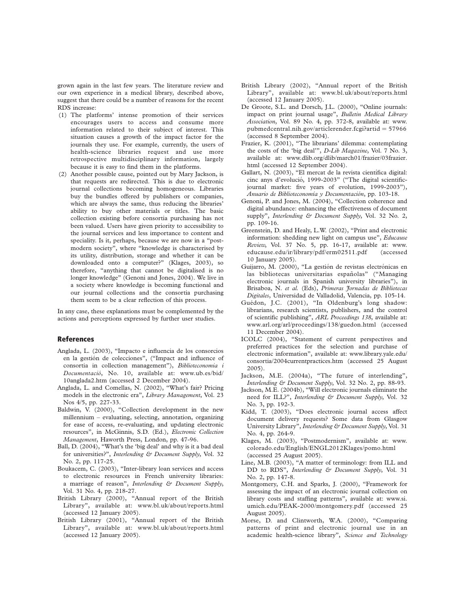grown again in the last few years. The literature review and our own experience in a medical library, described above, suggest that there could be a number of reasons for the recent RDS increase:

- (1) The platforms' intense promotion of their services encourages users to access and consume more information related to their subject of interest. This situation causes a growth of the impact factor for the journals they use. For example, currently, the users of health-science libraries request and use more retrospective multidisciplinary information, largely because it is easy to find them in the platforms.
- (2) Another possible cause, pointed out by Mary Jackson, is that requests are redirected. This is due to electronic journal collections becoming homogeneous. Libraries buy the bundles offered by publishers or companies, which are always the same, thus reducing the libraries' ability to buy other materials or titles. The basic collection existing before consortia purchasing has not been valued. Users have given priority to accessibility to the journal services and less importance to content and speciality. Is it, perhaps, because we are now in a "postmodern society", where "knowledge is characterised by its utility, distribution, storage and whether it can be downloaded onto a computer?" (Klages, 2003), so therefore, "anything that cannot be digitalised is no longer knowledge" (Genoni and Jones, 2004). We live in a society where knowledge is becoming functional and our journal collections and the consortia purchasing them seem to be a clear reflection of this process.

In any case, these explanations must be complemented by the actions and perceptions expressed by further user studies.

## **References**

- Anglada, L. (2003), "Impacto e influencia de los consorcios en la gestión de colecciones", ("Impact and influence of consortia in collection management"), Biblioteconomia i Documentació, No. 10, available at: www.ub.es/bid/ 10anglada2.htm (accessed 2 December 2004).
- Anglada, L. and Comellas, N. (2002), "What's fair? Pricing models in the electronic era", Library Management, Vol. 23 Nos 4/5, pp. 227-33.
- Baldwin, V. (2000), "Collection development in the new millennium – evaluating, selecting, annotation, organizing for ease of access, re-evaluating, and updating electronic resources", in McGinnis, S.D. (Ed.), Electronic Collection Management, Haworth Press, London, pp. 47-96.
- Ball, D. (2004), "What's the 'big deal' and why is it a bad deal for universities?", Interlending & Document Supply, Vol. 32 No. 2, pp. 117-25.
- Boukacem, C. (2003), "Inter-library loan services and access to electronic resources in French university libraries: a marriage of reason", Interlending & Document Supply, Vol. 31 No. 4, pp. 218-27.
- British Library (2000), "Annual report of the British Library", available at: www.bl.uk/about/reports.html (accessed 12 January 2005).
- British Library (2001), "Annual report of the British Library", available at: www.bl.uk/about/reports.html (accessed 12 January 2005).
- British Library (2002), "Annual report of the British Library", available at: www.bl.uk/about/reports.html (accessed 12 January 2005).
- De Groote, S.L. and Dorsch, J.L. (2000), "Online journals: impact on print journal usage", Bulletin Medical Library Association, Vol. 89 No. 4, pp. 372-8, available at: www. pubmedcentral.nih.gov/articlerender.fcgi?artid =  $57966$ (accessed 8 September 2004).
- Frazier, K. (2001), "The librarians' dilemma: contemplating the costs of the 'big deal'", D-Lib Magazine, Vol. 7 No. 3, available at: www.dlib.org/dlib/march01/frazier/03frazier. html (accessed 12 September 2004).
- Gallart, N. (2003), "El mercat de la revista científica digital: cinc anys d'evolució, 1999-2003" ("The digital scientificjournal market: five years of evolution, 1999-2003"), Anuario de Biblioteconomía y Documentación, pp. 103-18.
- Genoni, P. and Jones, M. (2004), "Collection coherence and digital abundance: enhancing the effectiveness of document supply", Interlending & Document Supply, Vol. 32 No. 2, pp. 109-16.
- Greenstein, D. and Healy, L.W. (2002), "Print and electronic information: shedding new light on campus use", Educause Review, Vol. 37 No. 5, pp. 16-17, available at: www. educause.edu/ir/library/pdf/erm02511.pdf (accessed 10 January 2005).
- Guijarro, M. (2000), "La gestión de revistas electrónicas en las bibliotecas universitarias españolas" ("Managing electronic journals in Spanish university libraries"), in Brisaboa, N. et al. (Eds), Primeras Jornadas de Bibliotecas Digitales, Universidad de Valladolid, Valencia, pp. 105-14.
- Guédon, J.C. (2001), "In Oldenburg's long shadow: librarians, research scientists, publishers, and the control of scientific publishing", ARL Proceedings 138, available at: www.arl.org/arl/proceedings/138/guedon.html (accessed 11 December 2004).
- ICOLC (2004), "Statement of current perspectives and preferred practices for the selection and purchase of electronic information", available at: www.library.yale.edu/ consortia/2004currentpractices.htm (accessed 25 August 2005).
- Jackson, M.E. (2004a), "The future of interlending", Interlending & Document Supply, Vol. 32 No. 2, pp. 88-93.
- Jackson, M.E. (2004b), "Will electronic journals eliminate the need for ILL?", Interlending & Document Supply, Vol. 32 No. 3, pp. 192-3.
- Kidd, T. (2003), "Does electronic journal access affect document delivery requests? Some data from Glasgow University Library", Interlending & Document Supply, Vol. 31 No. 4, pp. 264-9.
- Klages, M. (2003), "Postmodernism", available at: www. colorado.edu/English/ENGL2012Klages/pomo.html (accessed 25 August 2005).
- Line, M.B. (2003), "A matter of terminology: from ILL and DD to RDS", Interlending & Document Supply, Vol. 31 No. 2, pp. 147-8.
- Montgomery, C.H. and Sparks, J. (2000), "Framework for assessing the impact of an electronic journal collection on library costs and staffing patterns", available at: www.si. umich.edu/PEAK-2000/montgomery.pdf (accessed 25 August 2005).
- Morse, D. and Clintworth, W.A. (2000), "Comparing patterns of print and electronic journal use in an academic health-science library", Science and Technology